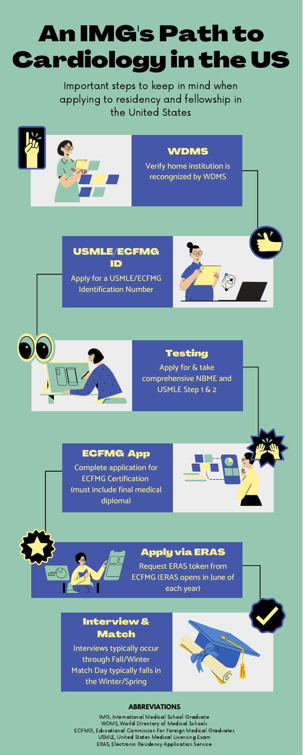Important steps to keep in mind when applying to residency and fellowship in the United States

# An IMG's Path to Cardiology in the US

IMG, International Medical School Graduate WDMS, World Directory of Medical Schools ECFMG, Educational Commission For Foreign Medical Graduates USMLE, United States Medical Licensing Exam ERAS, Electronic Residency Application Service

#### **ABBREVIATIONS**



#### Testing

Apply for & take comprehensive NBME and USMLE Step 1 & 2





#### ECFMG App

Complete application for ECFMG Certification (must include final medical diploma)

## Apply via ERAS

Request ERAS token from ECFMG (ERAS opens in June of each year)

### Interview& Match

Interviews typically occur through Fall/Winter Match Day typically falls in the Winter/Spring